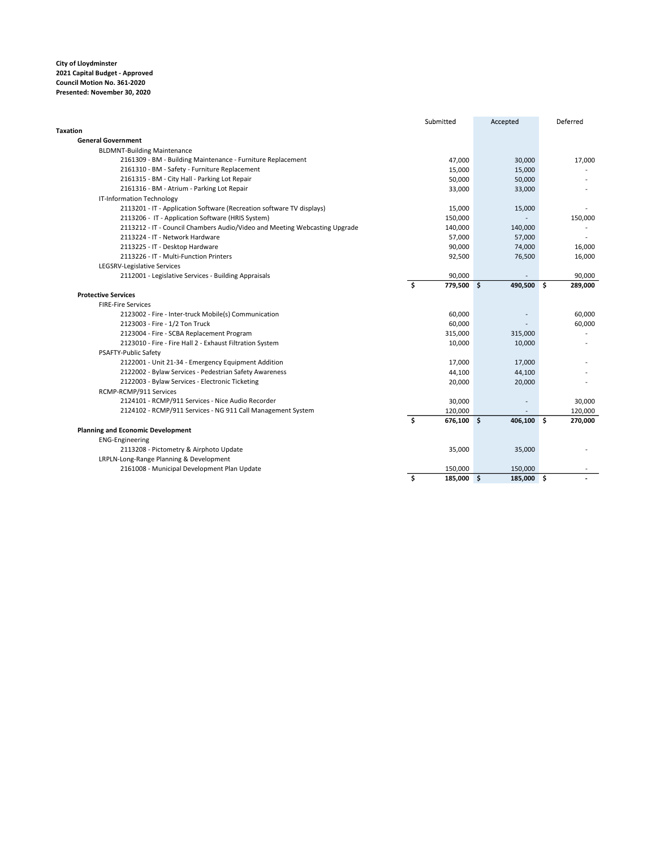|                                                                            | Submitted          | Accepted       | Deferred      |
|----------------------------------------------------------------------------|--------------------|----------------|---------------|
| <b>Taxation</b>                                                            |                    |                |               |
| <b>General Government</b>                                                  |                    |                |               |
| <b>BLDMNT-Building Maintenance</b>                                         |                    |                |               |
| 2161309 - BM - Building Maintenance - Furniture Replacement                | 47,000             | 30,000         | 17,000        |
| 2161310 - BM - Safety - Furniture Replacement                              | 15,000             | 15,000         |               |
| 2161315 - BM - City Hall - Parking Lot Repair                              | 50,000             | 50,000         |               |
| 2161316 - BM - Atrium - Parking Lot Repair                                 | 33,000             | 33,000         |               |
| IT-Information Technology                                                  |                    |                |               |
| 2113201 - IT - Application Software (Recreation software TV displays)      | 15,000             | 15,000         |               |
| 2113206 - IT - Application Software (HRIS System)                          | 150,000            |                | 150,000       |
| 2113212 - IT - Council Chambers Audio/Video and Meeting Webcasting Upgrade | 140,000            | 140,000        |               |
| 2113224 - IT - Network Hardware                                            | 57,000             | 57,000         |               |
| 2113225 - IT - Desktop Hardware                                            | 90,000             | 74,000         | 16,000        |
| 2113226 - IT - Multi-Function Printers                                     | 92,500             | 76,500         | 16,000        |
| LEGSRV-Legislative Services                                                |                    |                |               |
| 2112001 - Legislative Services - Building Appraisals                       | 90,000             |                | 90,000        |
|                                                                            | \$<br>779,500 \$   | 490,500        | \$<br>289,000 |
| <b>Protective Services</b>                                                 |                    |                |               |
| <b>FIRE-Fire Services</b>                                                  |                    |                |               |
| 2123002 - Fire - Inter-truck Mobile(s) Communication                       | 60,000             |                | 60,000        |
| 2123003 - Fire - 1/2 Ton Truck                                             | 60,000             |                | 60,000        |
| 2123004 - Fire - SCBA Replacement Program                                  | 315,000            | 315,000        |               |
| 2123010 - Fire - Fire Hall 2 - Exhaust Filtration System                   | 10,000             | 10,000         |               |
| PSAFTY-Public Safety                                                       |                    |                |               |
| 2122001 - Unit 21-34 - Emergency Equipment Addition                        | 17,000             | 17,000         |               |
| 2122002 - Bylaw Services - Pedestrian Safety Awareness                     | 44,100             | 44,100         |               |
| 2122003 - Bylaw Services - Electronic Ticketing                            | 20,000             | 20,000         |               |
| RCMP-RCMP/911 Services                                                     |                    |                |               |
| 2124101 - RCMP/911 Services - Nice Audio Recorder                          | 30,000             |                | 30,000        |
| 2124102 - RCMP/911 Services - NG 911 Call Management System                | 120,000            |                | 120,000       |
|                                                                            | \$<br>$676,100$ \$ | 406,100 \$     | 270,000       |
| <b>Planning and Economic Development</b>                                   |                    |                |               |
| <b>ENG-Engineering</b>                                                     |                    |                |               |
| 2113208 - Pictometry & Airphoto Update                                     | 35,000             | 35,000         |               |
| LRPLN-Long-Range Planning & Development                                    |                    |                |               |
| 2161008 - Municipal Development Plan Update                                | 150,000            | 150,000        |               |
|                                                                            | \$<br>185,000      | \$.<br>185,000 | Ŝ.            |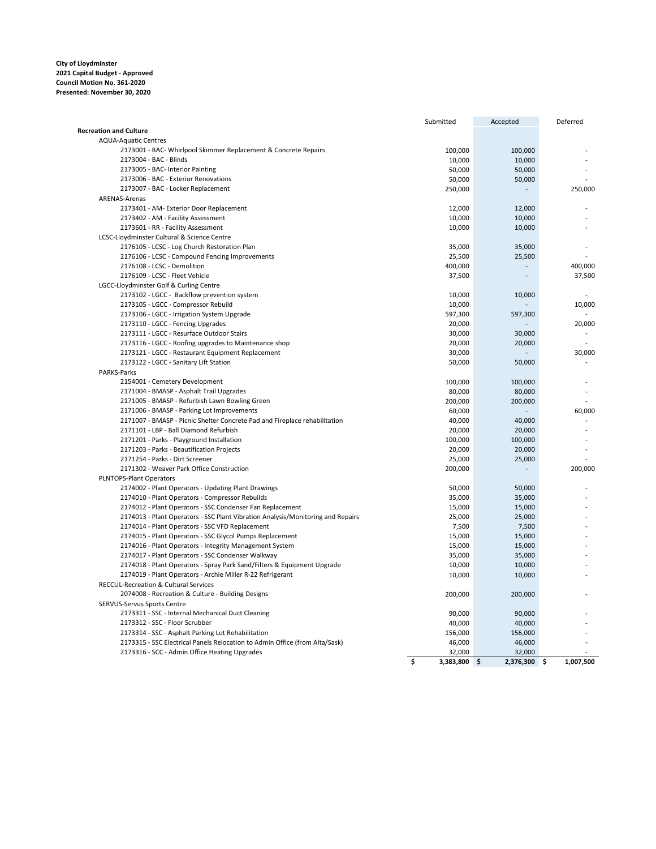|                                                                                 | Submitted        | Accepted        | Deferred        |
|---------------------------------------------------------------------------------|------------------|-----------------|-----------------|
| <b>Recreation and Culture</b>                                                   |                  |                 |                 |
| <b>AQUA-Aquatic Centres</b>                                                     |                  |                 |                 |
| 2173001 - BAC- Whirlpool Skimmer Replacement & Concrete Repairs                 | 100,000          | 100,000         |                 |
| 2173004 - BAC - Blinds                                                          | 10,000           | 10,000          |                 |
| 2173005 - BAC- Interior Painting                                                | 50,000           | 50,000          |                 |
| 2173006 - BAC - Exterior Renovations                                            | 50,000           | 50,000          |                 |
| 2173007 - BAC - Locker Replacement                                              | 250,000          |                 | 250,000         |
| ARENAS-Arenas                                                                   |                  |                 |                 |
| 2173401 - AM- Exterior Door Replacement                                         | 12,000           | 12,000          |                 |
| 2173402 - AM - Facility Assessment                                              | 10,000           | 10,000          |                 |
| 2173601 - RR - Facility Assessment                                              | 10,000           | 10,000          |                 |
| LCSC-Lloydminster Cultural & Science Centre                                     |                  |                 |                 |
| 2176105 - LCSC - Log Church Restoration Plan                                    | 35,000           | 35,000          |                 |
| 2176106 - LCSC - Compound Fencing Improvements                                  | 25,500           | 25,500          |                 |
| 2176108 - LCSC - Demolition                                                     | 400,000          | $\overline{a}$  | 400,000         |
| 2176109 - LCSC - Fleet Vehicle                                                  | 37,500           | $\overline{a}$  | 37,500          |
| LGCC-Lloydminster Golf & Curling Centre                                         |                  |                 |                 |
| 2173102 - LGCC - Backflow prevention system                                     | 10,000           | 10,000          |                 |
| 2173105 - LGCC - Compressor Rebuild                                             | 10,000           |                 | 10,000          |
| 2173106 - LGCC - Irrigation System Upgrade                                      | 597,300          | 597,300         |                 |
| 2173110 - LGCC - Fencing Upgrades                                               | 20,000           |                 | 20,000          |
|                                                                                 | 30,000           | 30,000          | ٠               |
| 2173111 - LGCC - Resurface Outdoor Stairs                                       |                  |                 |                 |
| 2173116 - LGCC - Roofing upgrades to Maintenance shop                           | 20,000<br>30,000 | 20,000          | 30,000          |
| 2173121 - LGCC - Restaurant Equipment Replacement                               |                  |                 |                 |
| 2173122 - LGCC - Sanitary Lift Station                                          | 50,000           | 50,000          |                 |
| PARKS-Parks                                                                     |                  |                 |                 |
| 2154001 - Cemetery Development                                                  | 100,000          | 100,000         |                 |
| 2171004 - BMASP - Asphalt Trail Upgrades                                        | 80,000           | 80,000          |                 |
| 2171005 - BMASP - Refurbish Lawn Bowling Green                                  | 200,000          | 200,000         |                 |
| 2171006 - BMASP - Parking Lot Improvements                                      | 60,000           |                 | 60,000          |
| 2171007 - BMASP - Picnic Shelter Concrete Pad and Fireplace rehabilitation      | 40,000           | 40,000          |                 |
| 2171101 - LBP - Ball Diamond Refurbish                                          | 20,000           | 20,000          |                 |
| 2171201 - Parks - Playground Installation                                       | 100,000          | 100,000         |                 |
| 2171203 - Parks - Beautification Projects                                       | 20,000           | 20,000          |                 |
| 2171254 - Parks - Dirt Screener                                                 | 25,000           | 25,000          |                 |
| 2171302 - Weaver Park Office Construction                                       | 200,000          |                 | 200,000         |
| PLNTOPS-Plant Operators                                                         |                  |                 |                 |
| 2174002 - Plant Operators - Updating Plant Drawings                             | 50,000           | 50,000          |                 |
| 2174010 - Plant Operators - Compressor Rebuilds                                 | 35,000           | 35,000          |                 |
| 2174012 - Plant Operators - SSC Condenser Fan Replacement                       | 15,000           | 15,000          |                 |
| 2174013 - Plant Operators - SSC Plant Vibration Analysis/Monitoring and Repairs | 25,000           | 25,000          |                 |
| 2174014 - Plant Operators - SSC VFD Replacement                                 | 7,500            | 7,500           |                 |
| 2174015 - Plant Operators - SSC Glycol Pumps Replacement                        | 15,000           | 15,000          |                 |
| 2174016 - Plant Operators - Integrity Management System                         | 15,000           | 15,000          |                 |
| 2174017 - Plant Operators - SSC Condenser Walkway                               | 35,000           | 35,000          |                 |
| 2174018 - Plant Operators - Spray Park Sand/Filters & Equipment Upgrade         | 10,000           | 10,000          |                 |
| 2174019 - Plant Operators - Archie Miller R-22 Refrigerant                      | 10,000           | 10,000          |                 |
| <b>RECCUL-Recreation &amp; Cultural Services</b>                                |                  |                 |                 |
| 2074008 - Recreation & Culture - Building Designs                               | 200,000          | 200,000         |                 |
| SERVUS-Servus Sports Centre                                                     |                  |                 |                 |
| 2173311 - SSC - Internal Mechanical Duct Cleaning                               | 90,000           | 90,000          |                 |
| 2173312 - SSC - Floor Scrubber                                                  | 40,000           | 40,000          |                 |
| 2173314 - SSC - Asphalt Parking Lot Rehabilitation                              | 156,000          | 156,000         |                 |
| 2173315 - SSC Electrical Panels Relocation to Admin Office (from Alta/Sask)     | 46,000           | 46,000          |                 |
| 2173316 - SCC - Admin Office Heating Upgrades                                   | 32,000           | 32,000          |                 |
|                                                                                 | \$<br>3,383,800  | \$<br>2,376,300 | \$<br>1,007,500 |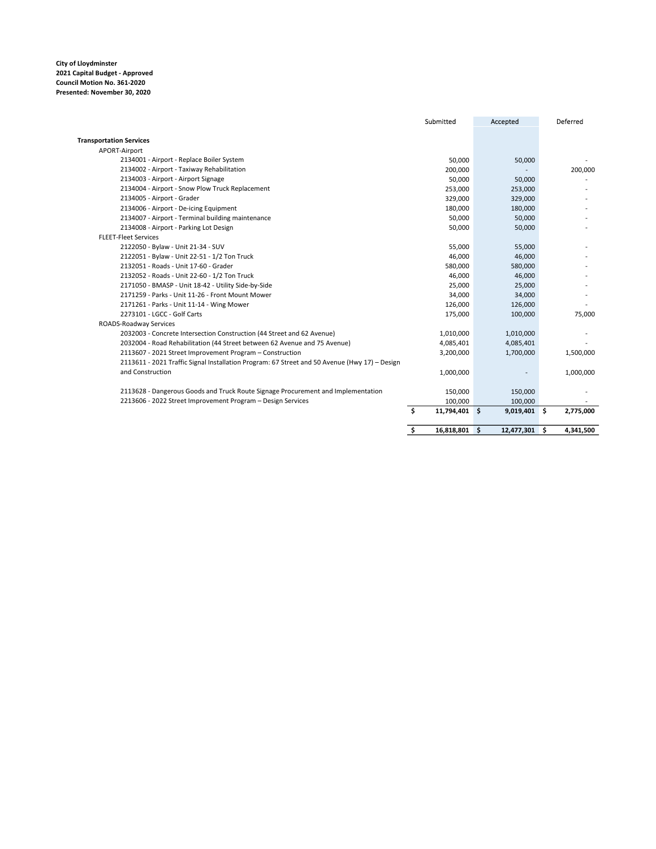|                                                                                               | Submitted |               | Accepted   |        | Deferred        |
|-----------------------------------------------------------------------------------------------|-----------|---------------|------------|--------|-----------------|
| <b>Transportation Services</b>                                                                |           |               |            |        |                 |
| APORT-Airport                                                                                 |           |               |            |        |                 |
| 2134001 - Airport - Replace Boiler System                                                     |           | 50,000        |            | 50,000 |                 |
| 2134002 - Airport - Taxiway Rehabilitation                                                    |           | 200,000       |            |        | 200,000         |
| 2134003 - Airport - Airport Signage                                                           |           | 50,000        |            | 50,000 |                 |
| 2134004 - Airport - Snow Plow Truck Replacement                                               |           | 253,000       | 253,000    |        |                 |
| 2134005 - Airport - Grader                                                                    |           | 329,000       | 329,000    |        |                 |
| 2134006 - Airport - De-icing Equipment                                                        |           | 180,000       | 180,000    |        |                 |
| 2134007 - Airport - Terminal building maintenance                                             |           | 50,000        |            | 50,000 |                 |
| 2134008 - Airport - Parking Lot Design                                                        |           | 50,000        |            | 50,000 |                 |
| <b>FLEET-Fleet Services</b>                                                                   |           |               |            |        |                 |
| 2122050 - Bylaw - Unit 21-34 - SUV                                                            |           | 55,000        |            | 55,000 |                 |
| 2122051 - Bylaw - Unit 22-51 - 1/2 Ton Truck                                                  |           | 46,000        |            | 46,000 |                 |
| 2132051 - Roads - Unit 17-60 - Grader                                                         |           | 580,000       | 580,000    |        |                 |
| 2132052 - Roads - Unit 22-60 - 1/2 Ton Truck                                                  |           | 46,000        |            | 46,000 |                 |
| 2171050 - BMASP - Unit 18-42 - Utility Side-by-Side                                           |           | 25,000        |            | 25,000 |                 |
| 2171259 - Parks - Unit 11-26 - Front Mount Mower                                              |           | 34,000        |            | 34,000 |                 |
| 2171261 - Parks - Unit 11-14 - Wing Mower                                                     |           | 126,000       | 126,000    |        |                 |
| 2273101 - LGCC - Golf Carts                                                                   |           | 175,000       | 100,000    |        | 75,000          |
| ROADS-Roadway Services                                                                        |           |               |            |        |                 |
| 2032003 - Concrete Intersection Construction (44 Street and 62 Avenue)                        |           | 1,010,000     | 1,010,000  |        |                 |
| 2032004 - Road Rehabilitation (44 Street between 62 Avenue and 75 Avenue)                     |           | 4,085,401     | 4,085,401  |        |                 |
| 2113607 - 2021 Street Improvement Program - Construction                                      |           | 3,200,000     | 1,700,000  |        | 1,500,000       |
| 2113611 - 2021 Traffic Signal Installation Program: 67 Street and 50 Avenue (Hwy 17) - Design |           |               |            |        |                 |
| and Construction                                                                              |           | 1,000,000     |            |        | 1,000,000       |
| 2113628 - Dangerous Goods and Truck Route Signage Procurement and Implementation              |           | 150,000       | 150,000    |        |                 |
| 2213606 - 2022 Street Improvement Program - Design Services                                   |           | 100,000       | 100,000    |        |                 |
|                                                                                               | \$        | 11,794,401 \$ | 9,019,401  |        | Ŝ.<br>2,775,000 |
|                                                                                               | \$        | 16,818,801 \$ | 12,477,301 |        | Ŝ.<br>4,341,500 |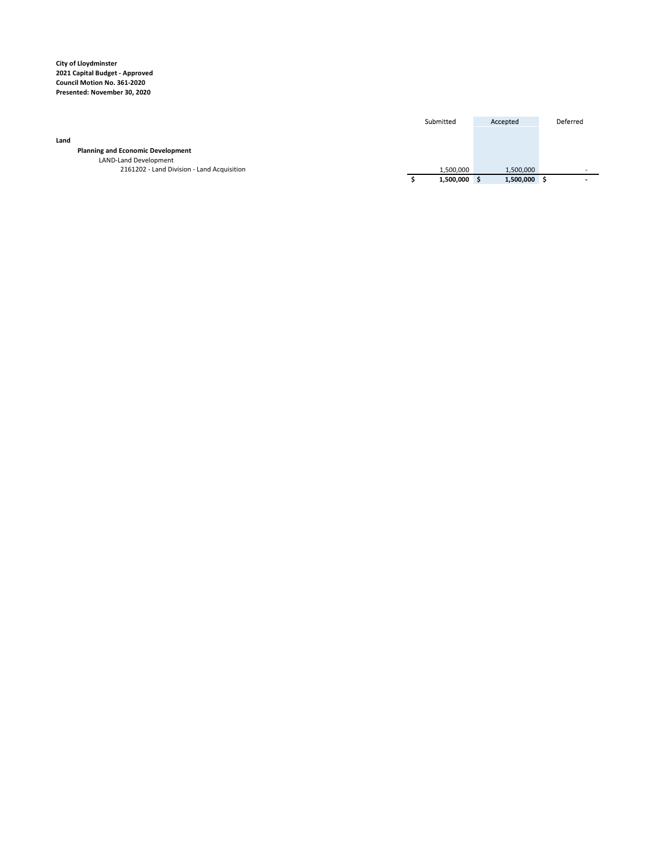|                                            | Submitted |           | Accepted  | Deferred |
|--------------------------------------------|-----------|-----------|-----------|----------|
| Land                                       |           |           |           |          |
| <b>Planning and Economic Development</b>   |           |           |           |          |
| LAND-Land Development                      |           |           |           |          |
| 2161202 - Land Division - Land Acquisition |           | 1,500,000 | 1,500,000 |          |
|                                            |           | 1,500,000 | 1,500,000 |          |